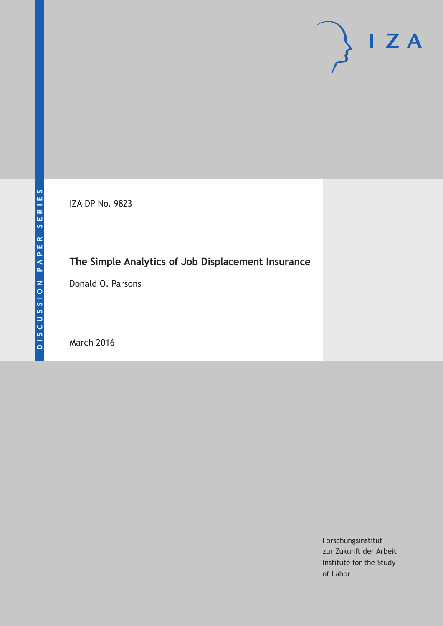IZA DP No. 9823

# **The Simple Analytics of Job Displacement Insurance**

Donald O. Parsons

March 2016

Forschungsinstitut zur Zukunft der Arbeit Institute for the Study of Labor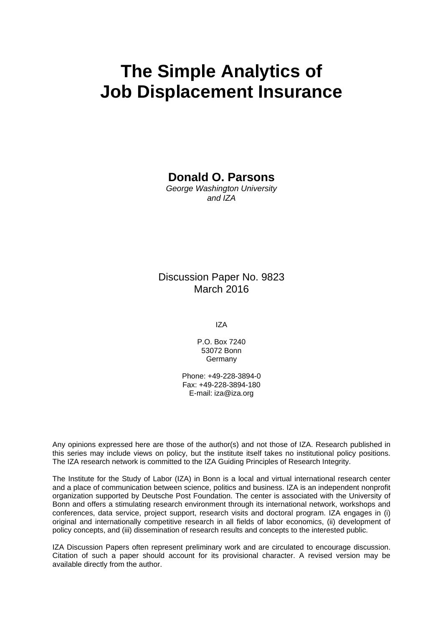# **The Simple Analytics of Job Displacement Insurance**

### **Donald O. Parsons**

*George Washington University and IZA* 

### Discussion Paper No. 9823 March 2016

IZA

P.O. Box 7240 53072 Bonn **Germany** 

Phone: +49-228-3894-0 Fax: +49-228-3894-180 E-mail: iza@iza.org

Any opinions expressed here are those of the author(s) and not those of IZA. Research published in this series may include views on policy, but the institute itself takes no institutional policy positions. The IZA research network is committed to the IZA Guiding Principles of Research Integrity.

The Institute for the Study of Labor (IZA) in Bonn is a local and virtual international research center and a place of communication between science, politics and business. IZA is an independent nonprofit organization supported by Deutsche Post Foundation. The center is associated with the University of Bonn and offers a stimulating research environment through its international network, workshops and conferences, data service, project support, research visits and doctoral program. IZA engages in (i) original and internationally competitive research in all fields of labor economics, (ii) development of policy concepts, and (iii) dissemination of research results and concepts to the interested public.

IZA Discussion Papers often represent preliminary work and are circulated to encourage discussion. Citation of such a paper should account for its provisional character. A revised version may be available directly from the author.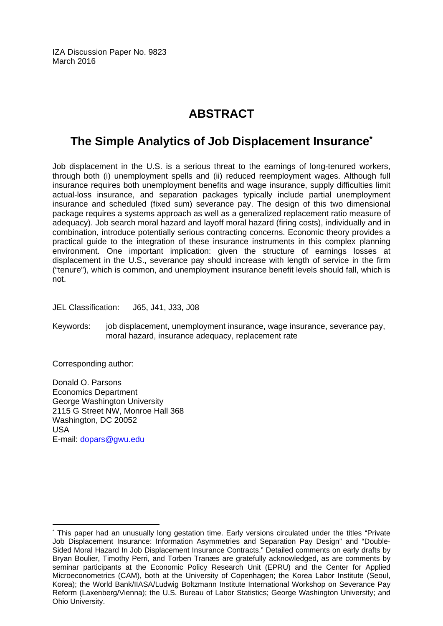IZA Discussion Paper No. 9823 March 2016

## **ABSTRACT**

# **The Simple Analytics of Job Displacement Insurance\***

Job displacement in the U.S. is a serious threat to the earnings of long-tenured workers, through both (i) unemployment spells and (ii) reduced reemployment wages. Although full insurance requires both unemployment benefits and wage insurance, supply difficulties limit actual-loss insurance, and separation packages typically include partial unemployment insurance and scheduled (fixed sum) severance pay. The design of this two dimensional package requires a systems approach as well as a generalized replacement ratio measure of adequacy). Job search moral hazard and layoff moral hazard (firing costs), individually and in combination, introduce potentially serious contracting concerns. Economic theory provides a practical guide to the integration of these insurance instruments in this complex planning environment. One important implication: given the structure of earnings losses at displacement in the U.S., severance pay should increase with length of service in the firm ("tenure"), which is common, and unemployment insurance benefit levels should fall, which is not.

JEL Classification: J65, J41, J33, J08

Keywords: job displacement, unemployment insurance, wage insurance, severance pay, moral hazard, insurance adequacy, replacement rate

Corresponding author:

 $\overline{a}$ 

Donald O. Parsons Economics Department George Washington University 2115 G Street NW, Monroe Hall 368 Washington, DC 20052 USA E-mail: dopars@gwu.edu

<sup>\*</sup> This paper had an unusually long gestation time. Early versions circulated under the titles "Private Job Displacement Insurance: Information Asymmetries and Separation Pay Design" and "Double-Sided Moral Hazard In Job Displacement Insurance Contracts." Detailed comments on early drafts by Bryan Boulier, Timothy Perri, and Torben Tranæs are gratefully acknowledged, as are comments by seminar participants at the Economic Policy Research Unit (EPRU) and the Center for Applied Microeconometrics (CAM), both at the University of Copenhagen; the Korea Labor Institute (Seoul, Korea); the World Bank/IIASA/Ludwig Boltzmann Institute International Workshop on Severance Pay Reform (Laxenberg/Vienna); the U.S. Bureau of Labor Statistics; George Washington University; and Ohio University.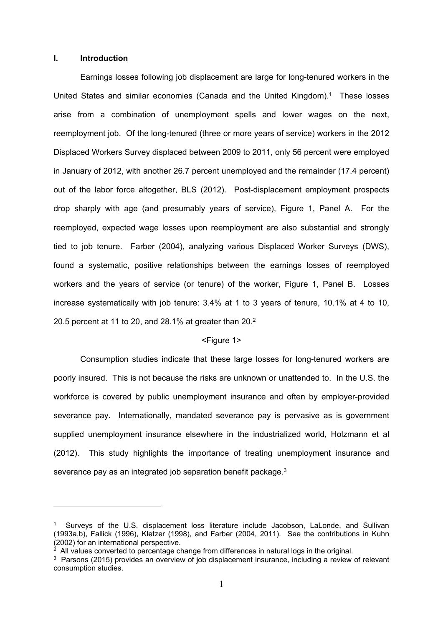#### **I. Introduction**

1

Earnings losses following job displacement are large for long-tenured workers in the United States and similar economies (Canada and the United Kingdom).1 These losses arise from a combination of unemployment spells and lower wages on the next, reemployment job. Of the long-tenured (three or more years of service) workers in the 2012 Displaced Workers Survey displaced between 2009 to 2011, only 56 percent were employed in January of 2012, with another 26.7 percent unemployed and the remainder (17.4 percent) out of the labor force altogether, BLS (2012). Post-displacement employment prospects drop sharply with age (and presumably years of service), Figure 1, Panel A. For the reemployed, expected wage losses upon reemployment are also substantial and strongly tied to job tenure. Farber (2004), analyzing various Displaced Worker Surveys (DWS), found a systematic, positive relationships between the earnings losses of reemployed workers and the years of service (or tenure) of the worker, Figure 1, Panel B. Losses increase systematically with job tenure: 3.4% at 1 to 3 years of tenure, 10.1% at 4 to 10, 20.5 percent at 11 to 20, and 28.1% at greater than 20.2

#### <Figure 1>

Consumption studies indicate that these large losses for long-tenured workers are poorly insured. This is not because the risks are unknown or unattended to. In the U.S. the workforce is covered by public unemployment insurance and often by employer-provided severance pay. Internationally, mandated severance pay is pervasive as is government supplied unemployment insurance elsewhere in the industrialized world, Holzmann et al (2012). This study highlights the importance of treating unemployment insurance and severance pay as an integrated job separation benefit package.<sup>3</sup>

<sup>1</sup> Surveys of the U.S. displacement loss literature include Jacobson, LaLonde, and Sullivan (1993a,b), Fallick (1996), Kletzer (1998), and Farber (2004, 2011). See the contributions in Kuhn (2002) for an international perspective.

 $2 \overline{2}$  All values converted to percentage change from differences in natural logs in the original.

<sup>&</sup>lt;sup>3</sup> Parsons (2015) provides an overview of job displacement insurance, including a review of relevant consumption studies.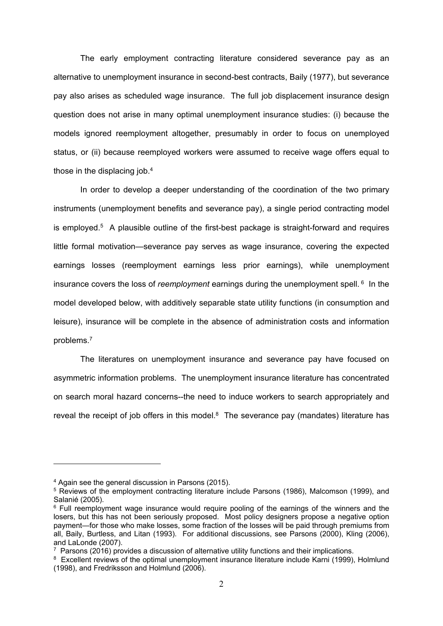The early employment contracting literature considered severance pay as an alternative to unemployment insurance in second-best contracts, Baily (1977), but severance pay also arises as scheduled wage insurance. The full job displacement insurance design question does not arise in many optimal unemployment insurance studies: (i) because the models ignored reemployment altogether, presumably in order to focus on unemployed status, or (ii) because reemployed workers were assumed to receive wage offers equal to those in the displacing job.4

In order to develop a deeper understanding of the coordination of the two primary instruments (unemployment benefits and severance pay), a single period contracting model is employed.<sup>5</sup> A plausible outline of the first-best package is straight-forward and requires little formal motivation—severance pay serves as wage insurance, covering the expected earnings losses (reemployment earnings less prior earnings), while unemployment insurance covers the loss of *reemployment* earnings during the unemployment spell. 6 In the model developed below, with additively separable state utility functions (in consumption and leisure), insurance will be complete in the absence of administration costs and information problems.7

The literatures on unemployment insurance and severance pay have focused on asymmetric information problems. The unemployment insurance literature has concentrated on search moral hazard concerns--the need to induce workers to search appropriately and reveal the receipt of job offers in this model. $8$  The severance pay (mandates) literature has

<sup>4</sup> Again see the general discussion in Parsons (2015).

<sup>&</sup>lt;sup>5</sup> Reviews of the employment contracting literature include Parsons (1986), Malcomson (1999), and Salanié (2005).

<sup>&</sup>lt;sup>6</sup> Full reemployment wage insurance would require pooling of the earnings of the winners and the losers, but this has not been seriously proposed. Most policy designers propose a negative option payment—for those who make losses, some fraction of the losses will be paid through premiums from all, Baily, Burtless, and Litan (1993). For additional discussions, see Parsons (2000), Kling (2006), and LaLonde (2007).

 $7$  Parsons (2016) provides a discussion of alternative utility functions and their implications.

<sup>&</sup>lt;sup>8</sup> Excellent reviews of the optimal unemployment insurance literature include Karni (1999), Holmlund (1998), and Fredriksson and Holmlund (2006).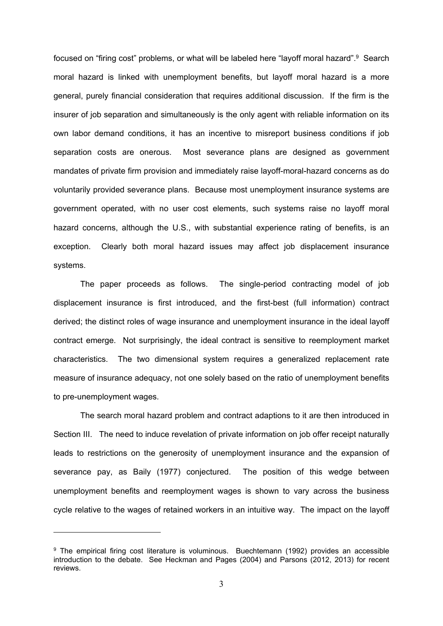focused on "firing cost" problems, or what will be labeled here "layoff moral hazard".9 Search moral hazard is linked with unemployment benefits, but layoff moral hazard is a more general, purely financial consideration that requires additional discussion. If the firm is the insurer of job separation and simultaneously is the only agent with reliable information on its own labor demand conditions, it has an incentive to misreport business conditions if job separation costs are onerous. Most severance plans are designed as government mandates of private firm provision and immediately raise layoff-moral-hazard concerns as do voluntarily provided severance plans. Because most unemployment insurance systems are government operated, with no user cost elements, such systems raise no layoff moral hazard concerns, although the U.S., with substantial experience rating of benefits, is an exception. Clearly both moral hazard issues may affect job displacement insurance systems.

The paper proceeds as follows. The single-period contracting model of job displacement insurance is first introduced, and the first-best (full information) contract derived; the distinct roles of wage insurance and unemployment insurance in the ideal layoff contract emerge. Not surprisingly, the ideal contract is sensitive to reemployment market characteristics. The two dimensional system requires a generalized replacement rate measure of insurance adequacy, not one solely based on the ratio of unemployment benefits to pre-unemployment wages.

The search moral hazard problem and contract adaptions to it are then introduced in Section III. The need to induce revelation of private information on job offer receipt naturally leads to restrictions on the generosity of unemployment insurance and the expansion of severance pay, as Baily (1977) conjectured. The position of this wedge between unemployment benefits and reemployment wages is shown to vary across the business cycle relative to the wages of retained workers in an intuitive way. The impact on the layoff

<sup>&</sup>lt;sup>9</sup> The empirical firing cost literature is voluminous. Buechtemann (1992) provides an accessible introduction to the debate. See Heckman and Pages (2004) and Parsons (2012, 2013) for recent reviews.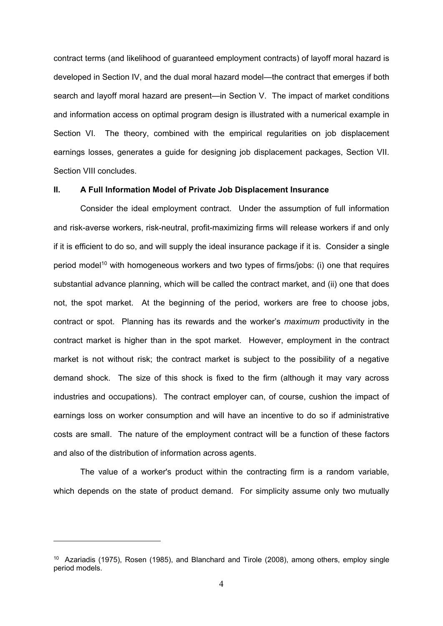contract terms (and likelihood of guaranteed employment contracts) of layoff moral hazard is developed in Section IV, and the dual moral hazard model—the contract that emerges if both search and layoff moral hazard are present—in Section V. The impact of market conditions and information access on optimal program design is illustrated with a numerical example in Section VI. The theory, combined with the empirical regularities on job displacement earnings losses, generates a guide for designing job displacement packages, Section VII. Section VIII concludes.

#### **II. A Full Information Model of Private Job Displacement Insurance**

Consider the ideal employment contract. Under the assumption of full information and risk-averse workers, risk-neutral, profit-maximizing firms will release workers if and only if it is efficient to do so, and will supply the ideal insurance package if it is. Consider a single period model<sup>10</sup> with homogeneous workers and two types of firms/jobs: (i) one that requires substantial advance planning, which will be called the contract market, and (ii) one that does not, the spot market. At the beginning of the period, workers are free to choose jobs, contract or spot. Planning has its rewards and the worker's *maximum* productivity in the contract market is higher than in the spot market. However, employment in the contract market is not without risk; the contract market is subject to the possibility of a negative demand shock. The size of this shock is fixed to the firm (although it may vary across industries and occupations). The contract employer can, of course, cushion the impact of earnings loss on worker consumption and will have an incentive to do so if administrative costs are small. The nature of the employment contract will be a function of these factors and also of the distribution of information across agents.

The value of a worker's product within the contracting firm is a random variable, which depends on the state of product demand. For simplicity assume only two mutually

<sup>&</sup>lt;sup>10</sup> Azariadis (1975), Rosen (1985), and Blanchard and Tirole (2008), among others, employ single period models.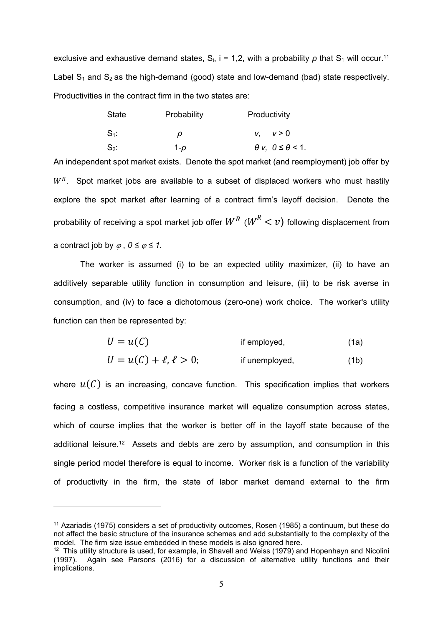exclusive and exhaustive demand states,  $S_i$ , i = 1,2, with a probability  $\rho$  that  $S_1$  will occur.<sup>11</sup> Label  $S_1$  and  $S_2$  as the high-demand (good) state and low-demand (bad) state respectively. Productivities in the contract firm in the two states are:

| <b>State</b> | Probability | Productivity                     |  |
|--------------|-------------|----------------------------------|--|
| $S_1$ :      | ρ           | v, v > 0                         |  |
| $S_2$ :      | 1-o         | $\theta$ v, $0 \leq \theta$ < 1. |  |

An independent spot market exists. Denote the spot market (and reemployment) job offer by  $W<sup>R</sup>$ . Spot market jobs are available to a subset of displaced workers who must hastily explore the spot market after learning of a contract firm's layoff decision. Denote the probability of receiving a spot market job offer  $W^R$  ( $W^R < v$ ) following displacement from a contract job by  $\varphi$ ,  $0 \le \varphi \le 1$ .

The worker is assumed (i) to be an expected utility maximizer, (ii) to have an additively separable utility function in consumption and leisure, (iii) to be risk averse in consumption, and (iv) to face a dichotomous (zero-one) work choice. The worker's utility function can then be represented by:

$$
U = u(C) \t\t \text{if employed,} \t\t (1a)
$$

$$
U = u(C) + \ell, \ell > 0;
$$
 if unemployed, (1b)

where  $u(C)$  is an increasing, concave function. This specification implies that workers facing a costless, competitive insurance market will equalize consumption across states, which of course implies that the worker is better off in the layoff state because of the additional leisure.12 Assets and debts are zero by assumption, and consumption in this single period model therefore is equal to income. Worker risk is a function of the variability of productivity in the firm, the state of labor market demand external to the firm

<sup>11</sup> Azariadis (1975) considers a set of productivity outcomes, Rosen (1985) a continuum, but these do not affect the basic structure of the insurance schemes and add substantially to the complexity of the model. The firm size issue embedded in these models is also ignored here.

 $12$  This utility structure is used, for example, in Shavell and Weiss (1979) and Hopenhayn and Nicolini (1997). Again see Parsons (2016) for a discussion of alternative utility functions and their implications.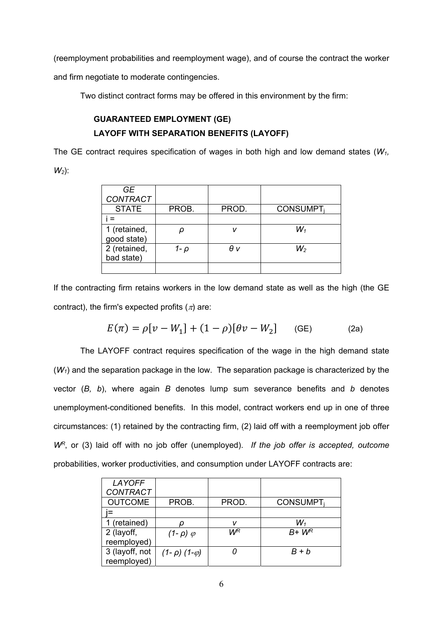(reemployment probabilities and reemployment wage), and of course the contract the worker and firm negotiate to moderate contingencies.

Two distinct contract forms may be offered in this environment by the firm:

### **GUARANTEED EMPLOYMENT (GE) LAYOFF WITH SEPARATION BENEFITS (LAYOFF)**

The GE contract requires specification of wages in both high and low demand states (*W1, W2*):

| GE.             |       |       |                 |
|-----------------|-------|-------|-----------------|
| <b>CONTRACT</b> |       |       |                 |
| <b>STATE</b>    | PROB. | PROD. | <b>CONSUMPT</b> |
|                 |       |       |                 |
| 1 (retained,    |       | v     | $W_1$           |
| good state)     |       |       |                 |
| 2 (retained,    | 1- p  | θv    | $W_2$           |
| bad state)      |       |       |                 |
|                 |       |       |                 |

If the contracting firm retains workers in the low demand state as well as the high (the GE contract), the firm's expected profits  $(\pi)$  are:

$$
E(\pi) = \rho[v - W_1] + (1 - \rho)[\theta v - W_2]
$$
 (GE) (2a)

The LAYOFF contract requires specification of the wage in the high demand state (*W1*) and the separation package in the low. The separation package is characterized by the vector (*B, b*), where again *B* denotes lump sum severance benefits and *b* denotes unemployment-conditioned benefits. In this model, contract workers end up in one of three circumstances: (1) retained by the contracting firm, (2) laid off with a reemployment job offer *WR*, or (3) laid off with no job offer (unemployed). *If the job offer is accepted, outcome*  probabilities, worker productivities, and consumption under LAYOFF contracts are:

| LAYOFF          |                          |       |                 |
|-----------------|--------------------------|-------|-----------------|
| <b>CONTRACT</b> |                          |       |                 |
| <b>OUTCOME</b>  | PROB.                    | PROD. | <b>CONSUMPT</b> |
|                 |                          |       |                 |
| 1 (retained)    |                          | v     | $W_1$           |
| 2 (layoff,      | $(1-\rho)$ $\varphi$     | WВ    | $B+W^R$         |
| reemployed)     |                          |       |                 |
| 3 (layoff, not  | $(1-\rho)$ $(1-\varphi)$ |       | $B + b$         |
| reemployed)     |                          |       |                 |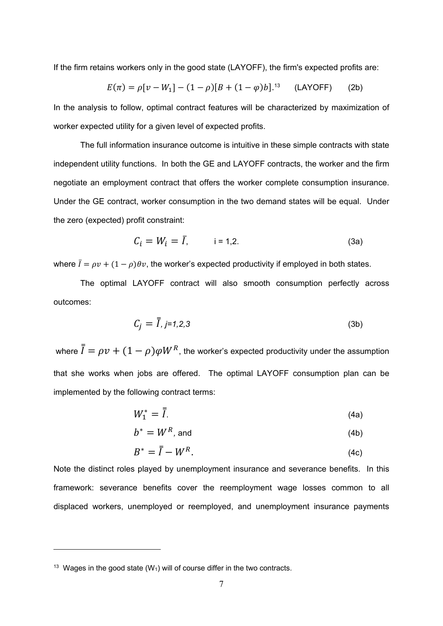If the firm retains workers only in the good state (LAYOFF), the firm's expected profits are:

$$
E(\pi) = \rho[v - W_1] - (1 - \rho)[B + (1 - \varphi)b]^{13} \quad \text{(LAYOFF)} \tag{2b}
$$

In the analysis to follow, optimal contract features will be characterized by maximization of worker expected utility for a given level of expected profits.

The full information insurance outcome is intuitive in these simple contracts with state independent utility functions. In both the GE and LAYOFF contracts, the worker and the firm negotiate an employment contract that offers the worker complete consumption insurance. Under the GE contract, worker consumption in the two demand states will be equal. Under the zero (expected) profit constraint:

$$
C_i = W_i = \overline{I}, \qquad i = 1, 2. \tag{3a}
$$

where  $\bar{I} = \rho v + (1 - \rho)\theta v$ , the worker's expected productivity if employed in both states.

The optimal LAYOFF contract will also smooth consumption perfectly across outcomes:

$$
C_j = \overline{I}, j=1,2,3 \tag{3b}
$$

where  $\bar{\bar{I}} = \rho v + (1 - \rho) \varphi W^R$ , the worker's expected productivity under the assumption that she works when jobs are offered. The optimal LAYOFF consumption plan can be implemented by the following contract terms:

$$
W_1^* = \overline{I}.
$$
 (4a)

$$
b^* = W^R
$$
, and (4b)

$$
B^* = \overline{I} - W^R. \tag{4c}
$$

Note the distinct roles played by unemployment insurance and severance benefits. In this framework: severance benefits cover the reemployment wage losses common to all displaced workers, unemployed or reemployed, and unemployment insurance payments

<sup>&</sup>lt;sup>13</sup> Wages in the good state  $(W_1)$  will of course differ in the two contracts.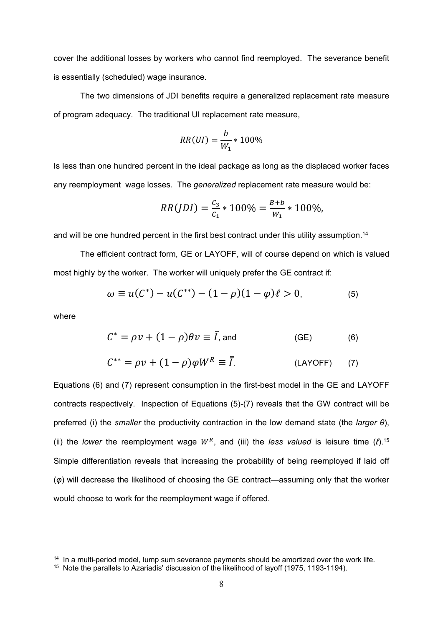cover the additional losses by workers who cannot find reemployed. The severance benefit is essentially (scheduled) wage insurance.

The two dimensions of JDI benefits require a generalized replacement rate measure of program adequacy. The traditional UI replacement rate measure,

$$
RR(UI) = \frac{b}{W_1} * 100\%
$$

Is less than one hundred percent in the ideal package as long as the displaced worker faces any reemployment wage losses. The *generalized* replacement rate measure would be:

$$
RR(JDI) = \frac{c_3}{c_1} * 100\% = \frac{B+b}{W_1} * 100\%,
$$

and will be one hundred percent in the first best contract under this utility assumption.<sup>14</sup>

The efficient contract form, GE or LAYOFF, will of course depend on which is valued most highly by the worker. The worker will uniquely prefer the GE contract if:

$$
\omega \equiv u(C^*) - u(C^{**}) - (1 - \rho)(1 - \varphi)\ell > 0, \tag{5}
$$

where

1

$$
C^* = \rho v + (1 - \rho)\theta v \equiv \bar{I}, \text{and} \qquad \qquad \text{(GE)} \tag{6}
$$

$$
C^{**} = \rho v + (1 - \rho)\varphi W^R \equiv \overline{I}.
$$
 (LAYOFF) (7)

Equations (6) and (7) represent consumption in the first-best model in the GE and LAYOFF contracts respectively. Inspection of Equations (5)-(7) reveals that the GW contract will be preferred (i) the *smaller* the productivity contraction in the low demand state (the *larger θ*), (ii) the *lower* the reemployment wage  $W^R$ , and (iii) the *less valued* is leisure time  $(R)$ .<sup>15</sup> Simple differentiation reveals that increasing the probability of being reemployed if laid off (*φ*) will decrease the likelihood of choosing the GE contract—assuming only that the worker would choose to work for the reemployment wage if offered.

<sup>&</sup>lt;sup>14</sup> In a multi-period model, lump sum severance payments should be amortized over the work life.

<sup>15</sup> Note the parallels to Azariadis' discussion of the likelihood of layoff (1975, 1193-1194).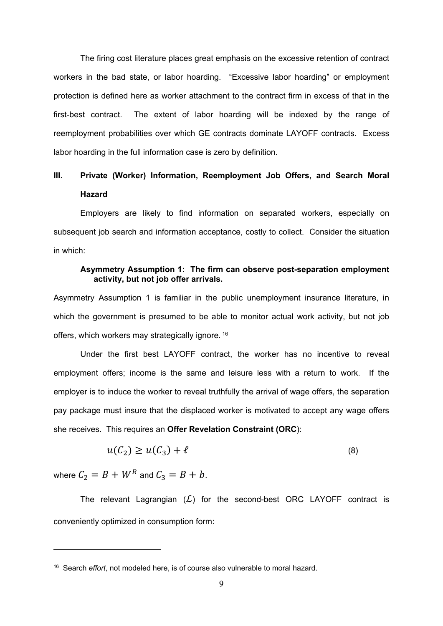The firing cost literature places great emphasis on the excessive retention of contract workers in the bad state, or labor hoarding. "Excessive labor hoarding" or employment protection is defined here as worker attachment to the contract firm in excess of that in the first-best contract. The extent of labor hoarding will be indexed by the range of reemployment probabilities over which GE contracts dominate LAYOFF contracts. Excess labor hoarding in the full information case is zero by definition.

### **III. Private (Worker) Information, Reemployment Job Offers, and Search Moral Hazard**

Employers are likely to find information on separated workers, especially on subsequent job search and information acceptance, costly to collect. Consider the situation in which:

#### **Asymmetry Assumption 1: The firm can observe post-separation employment activity, but not job offer arrivals.**

Asymmetry Assumption 1 is familiar in the public unemployment insurance literature, in which the government is presumed to be able to monitor actual work activity, but not job offers, which workers may strategically ignore. 16

Under the first best LAYOFF contract, the worker has no incentive to reveal employment offers; income is the same and leisure less with a return to work. If the employer is to induce the worker to reveal truthfully the arrival of wage offers, the separation pay package must insure that the displaced worker is motivated to accept any wage offers she receives. This requires an **Offer Revelation Constraint (ORC**):

$$
u(C_2) \ge u(C_3) + \ell \tag{8}
$$

where  $C_2 = B + W^R$  and  $C_3 = B + b$ .

1

The relevant Lagrangian  $(L)$  for the second-best ORC LAYOFF contract is conveniently optimized in consumption form:

<sup>16</sup> Search *effort*, not modeled here, is of course also vulnerable to moral hazard.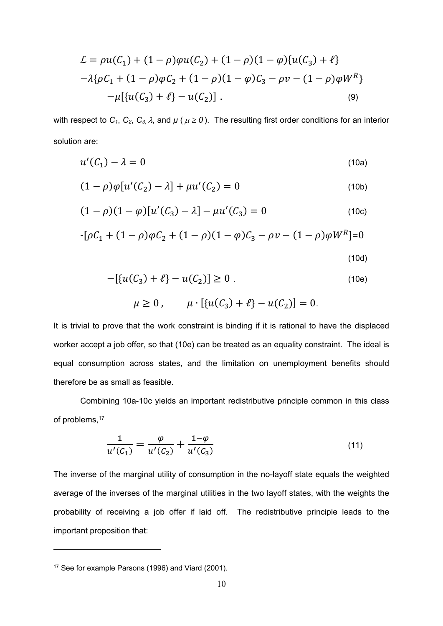$$
\mathcal{L} = \rho u(C_1) + (1 - \rho)\varphi u(C_2) + (1 - \rho)(1 - \varphi)\{u(C_3) + \ell\} \n- \lambda \{\rho C_1 + (1 - \rho)\varphi C_2 + (1 - \rho)(1 - \varphi)C_3 - \rho v - (1 - \rho)\varphi W^R\} \n- \mu [\{u(C_3) + \ell\} - u(C_2)].
$$
\n(9)

with respect to  $C_1$ ,  $C_2$ ,  $C_3$ ,  $\lambda$ , and  $\mu$  ( $\mu \ge 0$ ). The resulting first order conditions for an interior solution are:

$$
u'(C_1) - \lambda = 0 \tag{10a}
$$

$$
(1 - \rho)\varphi[u'(C_2) - \lambda] + \mu u'(C_2) = 0 \tag{10b}
$$

$$
(1 - \rho)(1 - \varphi)[u'(C_3) - \lambda] - \mu u'(C_3) = 0 \tag{10c}
$$

$$
-[\rho C_1 + (1 - \rho)\varphi C_2 + (1 - \rho)(1 - \varphi)C_3 - \rho v - (1 - \rho)\varphi W^R] = 0
$$
\n(10d)

$$
-[\{u(C_3) + \ell\} - u(C_2)] \ge 0.
$$
 (10e)

$$
\mu \ge 0
$$
,  $\mu \cdot [\{u(C_3) + \ell\} - u(C_2)] = 0$ .

It is trivial to prove that the work constraint is binding if it is rational to have the displaced worker accept a job offer, so that (10e) can be treated as an equality constraint. The ideal is equal consumption across states, and the limitation on unemployment benefits should therefore be as small as feasible.

Combining 10a-10c yields an important redistributive principle common in this class of problems,<sup>17</sup>

$$
\frac{1}{u'(C_1)} = \frac{\varphi}{u'(C_2)} + \frac{1-\varphi}{u'(C_3)}\tag{11}
$$

The inverse of the marginal utility of consumption in the no-layoff state equals the weighted average of the inverses of the marginal utilities in the two layoff states, with the weights the probability of receiving a job offer if laid off. The redistributive principle leads to the important proposition that:

<sup>&</sup>lt;sup>17</sup> See for example Parsons (1996) and Viard (2001).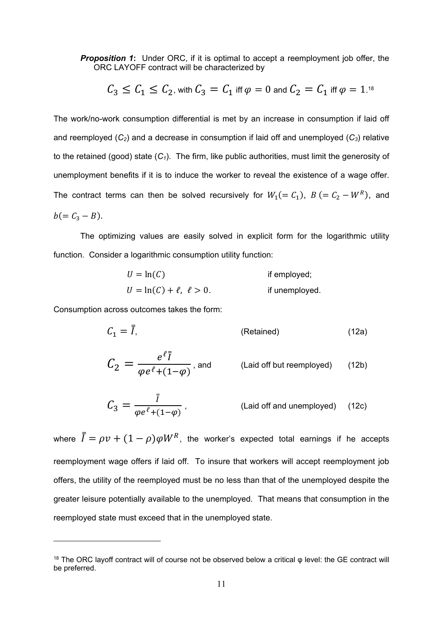**Proposition 1:** Under ORC, if it is optimal to accept a reemployment job offer, the ORC LAYOFF contract will be characterized by

$$
C_3 \leq C_1 \leq C_2
$$
, with  $C_3 = C_1$  iff  $\varphi = 0$  and  $C_2 = C_1$  iff  $\varphi = 1$ .<sup>18</sup>

The work/no-work consumption differential is met by an increase in consumption if laid off and reemployed (*C2*) and a decrease in consumption if laid off and unemployed (*C3*) relative to the retained (good) state (*C1*). The firm, like public authorities, must limit the generosity of unemployment benefits if it is to induce the worker to reveal the existence of a wage offer. The contract terms can then be solved recursively for  $W_1 (= C_1)$ ,  $B (= C_2 - W^R)$ , and  $b(= C_3 - B).$ 

The optimizing values are easily solved in explicit form for the logarithmic utility function. Consider a logarithmic consumption utility function:

$$
U = \ln(C)
$$
if employed;  

$$
U = \ln(C) + \ell, \ \ell > 0.
$$
if unemployed.

Consumption across outcomes takes the form:

1

$$
C_1 = \overline{I}, \qquad \qquad \text{(Retained)} \tag{12a}
$$

$$
C_2 = \frac{e^{\ell \bar{f}}}{\varphi e^{\ell} + (1 - \varphi)}, \text{ and } \qquad \text{(Laid off but reemployed)} \qquad (12b)
$$

$$
C_3 = \frac{\bar{I}}{\varphi e^{\ell} + (1 - \varphi)} ,
$$
 (Laid off and unemployed) (12c)

where  $\bar{\bar{I}} = \rho v + (1 - \rho) \varphi W^R$ , the worker's expected total earnings if he accepts reemployment wage offers if laid off. To insure that workers will accept reemployment job offers, the utility of the reemployed must be no less than that of the unemployed despite the greater leisure potentially available to the unemployed. That means that consumption in the reemployed state must exceed that in the unemployed state.

<sup>&</sup>lt;sup>18</sup> The ORC layoff contract will of course not be observed below a critical φ level: the GE contract will be preferred.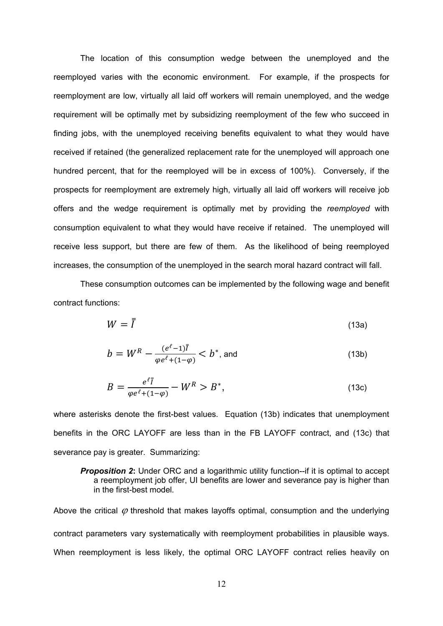The location of this consumption wedge between the unemployed and the reemployed varies with the economic environment. For example, if the prospects for reemployment are low, virtually all laid off workers will remain unemployed, and the wedge requirement will be optimally met by subsidizing reemployment of the few who succeed in finding jobs, with the unemployed receiving benefits equivalent to what they would have received if retained (the generalized replacement rate for the unemployed will approach one hundred percent, that for the reemployed will be in excess of 100%). Conversely, if the prospects for reemployment are extremely high, virtually all laid off workers will receive job offers and the wedge requirement is optimally met by providing the *reemployed* with consumption equivalent to what they would have receive if retained. The unemployed will receive less support, but there are few of them. As the likelihood of being reemployed increases, the consumption of the unemployed in the search moral hazard contract will fall.

These consumption outcomes can be implemented by the following wage and benefit contract functions:

$$
W = \overline{I} \tag{13a}
$$

$$
b = W^{R} - \frac{(e^{\ell} - 1)\bar{I}}{\varphi e^{\ell} + (1 - \varphi)} < b^{*}, \text{ and} \tag{13b}
$$

$$
B = \frac{e^{\ell \bar{I}}}{\varphi e^{\ell} + (1 - \varphi)} - W^R > B^*,
$$
\n(13c)

where asterisks denote the first-best values*.* Equation (13b) indicates that unemployment benefits in the ORC LAYOFF are less than in the FB LAYOFF contract, and (13c) that severance pay is greater. Summarizing:

**Proposition 2:** Under ORC and a logarithmic utility function--if it is optimal to accept a reemployment job offer, UI benefits are lower and severance pay is higher than in the first-best model*.* 

Above the critical  $\varphi$  threshold that makes layoffs optimal, consumption and the underlying contract parameters vary systematically with reemployment probabilities in plausible ways. When reemployment is less likely, the optimal ORC LAYOFF contract relies heavily on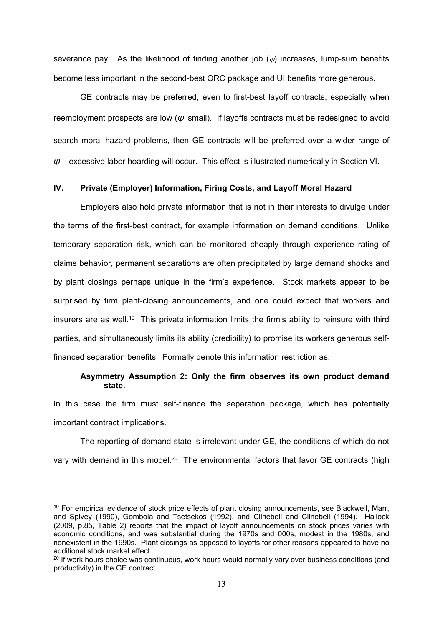severance pay. As the likelihood of finding another job  $(\varphi)$  increases, lump-sum benefits become less important in the second-best ORC package and UI benefits more generous.

 GE contracts may be preferred, even to first-best layoff contracts, especially when reemployment prospects are low ( $\varphi$  small). If layoffs contracts must be redesigned to avoid search moral hazard problems, then GE contracts will be preferred over a wider range of  $\varphi$ —excessive labor hoarding will occur. This effect is illustrated numerically in Section VI.

#### **IV. Private (Employer) Information, Firing Costs, and Layoff Moral Hazard**

Employers also hold private information that is not in their interests to divulge under the terms of the first-best contract, for example information on demand conditions. Unlike temporary separation risk, which can be monitored cheaply through experience rating of claims behavior, permanent separations are often precipitated by large demand shocks and by plant closings perhaps unique in the firm's experience. Stock markets appear to be surprised by firm plant-closing announcements, and one could expect that workers and insurers are as well.19 This private information limits the firm's ability to reinsure with third parties, and simultaneously limits its ability (credibility) to promise its workers generous selffinanced separation benefits. Formally denote this information restriction as:

#### **Asymmetry Assumption 2: Only the firm observes its own product demand state.**

In this case the firm must self-finance the separation package, which has potentially important contract implications.

The reporting of demand state is irrelevant under GE, the conditions of which do not vary with demand in this model.<sup>20</sup> The environmental factors that favor GE contracts (high

<sup>&</sup>lt;sup>19</sup> For empirical evidence of stock price effects of plant closing announcements, see Blackwell, Marr, and Spivey (1990), Gombola and Tsetsekos (1992), and Clinebell and Clinebell (1994). Hallock (2009, p.85, Table 2) reports that the impact of layoff announcements on stock prices varies with economic conditions, and was substantial during the 1970s and 000s, modest in the 1980s, and nonexistent in the 1990s. Plant closings as opposed to layoffs for other reasons appeared to have no additional stock market effect.

 $20$  If work hours choice was continuous, work hours would normally vary over business conditions (and productivity) in the GE contract.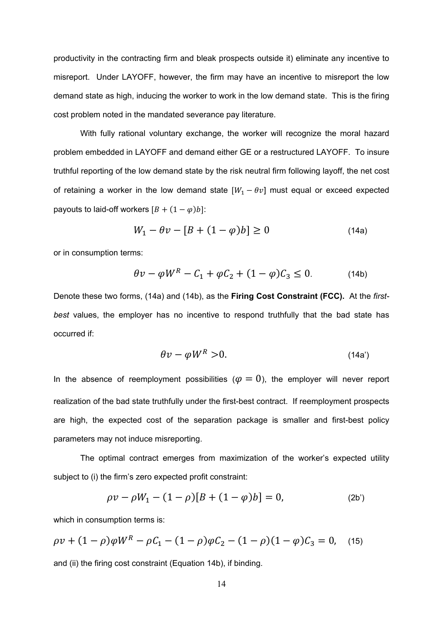productivity in the contracting firm and bleak prospects outside it) eliminate any incentive to misreport. Under LAYOFF, however, the firm may have an incentive to misreport the low demand state as high, inducing the worker to work in the low demand state. This is the firing cost problem noted in the mandated severance pay literature.

With fully rational voluntary exchange, the worker will recognize the moral hazard problem embedded in LAYOFF and demand either GE or a restructured LAYOFF. To insure truthful reporting of the low demand state by the risk neutral firm following layoff, the net cost of retaining a worker in the low demand state  $[W_1 - \theta v]$  must equal or exceed expected payouts to laid-off workers  $[B + (1 - \varphi)b]$ :

$$
W_1 - \theta v - [B + (1 - \varphi)b] \ge 0 \tag{14a}
$$

or in consumption terms:

$$
\theta v - \varphi W^R - C_1 + \varphi C_2 + (1 - \varphi) C_3 \le 0. \tag{14b}
$$

Denote these two forms, (14a) and (14b), as the **Firing Cost Constraint (FCC).** At the *firstbest* values, the employer has no incentive to respond truthfully that the bad state has occurred if:

$$
\theta v - \varphi W^R > 0. \tag{14a'}
$$

In the absence of reemployment possibilities ( $\varphi = 0$ ), the employer will never report realization of the bad state truthfully under the first-best contract. If reemployment prospects are high, the expected cost of the separation package is smaller and first-best policy parameters may not induce misreporting.

The optimal contract emerges from maximization of the worker's expected utility subject to (i) the firm's zero expected profit constraint:

$$
\rho v - \rho W_1 - (1 - \rho)[B + (1 - \varphi)b] = 0, \tag{2b'}
$$

which in consumption terms is:

$$
\rho v + (1 - \rho)\varphi W^R - \rho C_1 - (1 - \rho)\varphi C_2 - (1 - \rho)(1 - \varphi)C_3 = 0, \quad (15)
$$

and (ii) the firing cost constraint (Equation 14b), if binding.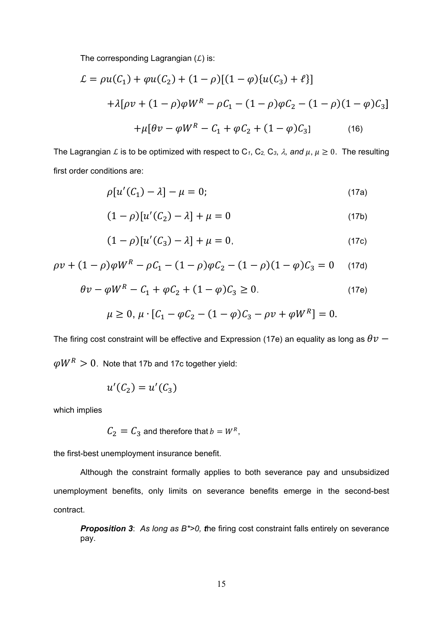The corresponding Lagrangian  $(L)$  is:

$$
\mathcal{L} = \rho u(C_1) + \varphi u(C_2) + (1 - \rho)[(1 - \varphi)\{u(C_3) + \ell\}]
$$
  
+  $\lambda[\rho v + (1 - \rho)\varphi W^R - \rho C_1 - (1 - \rho)\varphi C_2 - (1 - \rho)(1 - \varphi)C_3]$   
+  $\mu[\theta v - \varphi W^R - C_1 + \varphi C_2 + (1 - \varphi)C_3]$  (16)

The Lagrangian L is to be optimized with respect to  $C_1$ ,  $C_2$ ,  $C_3$ ,  $\lambda$ , and  $\mu$ ,  $\mu \geq 0$ . The resulting first order conditions are:

$$
\rho[u'(C_1) - \lambda] - \mu = 0; \tag{17a}
$$

$$
(1 - \rho)[u'(C_2) - \lambda] + \mu = 0 \tag{17b}
$$

$$
(1 - \rho)[u'(C_3) - \lambda] + \mu = 0, \tag{17c}
$$

$$
\rho v + (1 - \rho)\varphi W^R - \rho C_1 - (1 - \rho)\varphi C_2 - (1 - \rho)(1 - \varphi)C_3 = 0 \quad (17d)
$$

$$
\theta v - \varphi W^R - C_1 + \varphi C_2 + (1 - \varphi) C_3 \ge 0.
$$
 (17e)

$$
\mu \ge 0, \mu \cdot [C_1 - \varphi C_2 - (1 - \varphi)C_3 - \rho v + \varphi W^R] = 0.
$$

The firing cost constraint will be effective and Expression (17e) an equality as long as  $\theta v \omega W^R > 0$ . Note that 17b and 17c together yield:

$$
u'(C_2) = u'(C_3)
$$

which implies

$$
C_2 = C_3
$$
 and therefore that  $b = W^R$ ,

the first-best unemployment insurance benefit.

Although the constraint formally applies to both severance pay and unsubsidized unemployment benefits, only limits on severance benefits emerge in the second-best contract.

*Proposition 3*: *As long as B\*>0, t*he firing cost constraint falls entirely on severance pay.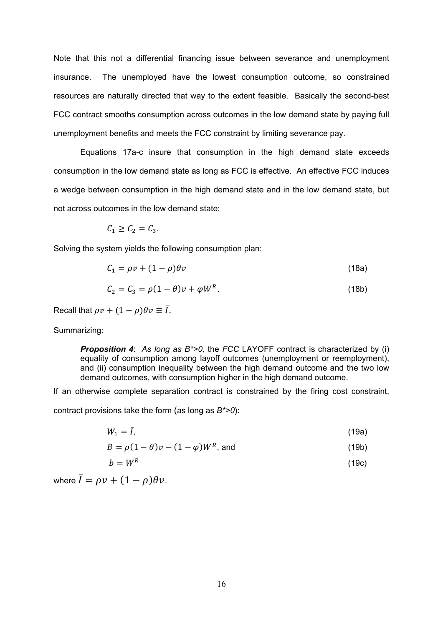Note that this not a differential financing issue between severance and unemployment insurance. The unemployed have the lowest consumption outcome, so constrained resources are naturally directed that way to the extent feasible. Basically the second-best FCC contract smooths consumption across outcomes in the low demand state by paying full unemployment benefits and meets the FCC constraint by limiting severance pay.

Equations 17a-c insure that consumption in the high demand state exceeds consumption in the low demand state as long as FCC is effective. An effective FCC induces a wedge between consumption in the high demand state and in the low demand state, but not across outcomes in the low demand state:

$$
C_1 \ge C_2 = C_3.
$$

Solving the system yields the following consumption plan:

$$
C_1 = \rho v + (1 - \rho)\theta v \tag{18a}
$$

$$
C_2 = C_3 = \rho(1 - \theta)v + \varphi W^R. \tag{18b}
$$

Recall that  $\rho v + (1 - \rho)\theta v \equiv \overline{I}$ .

#### Summarizing:

*Proposition 4*: *As long as B\*>0,* the *FCC* LAYOFF contract is characterized by (i) equality of consumption among layoff outcomes (unemployment or reemployment), and (ii) consumption inequality between the high demand outcome and the two low demand outcomes, with consumption higher in the high demand outcome.

If an otherwise complete separation contract is constrained by the firing cost constraint, contract provisions take the form (as long as *B\*>0*):

 $W_1 = \bar{I},$  (19a)

$$
B = \rho(1 - \theta)v - (1 - \varphi)W^R, \text{ and}
$$
 (19b)

$$
b = W^R \tag{19c}
$$

where  $\bar{I} = \rho v + (1 - \rho) \theta v$ .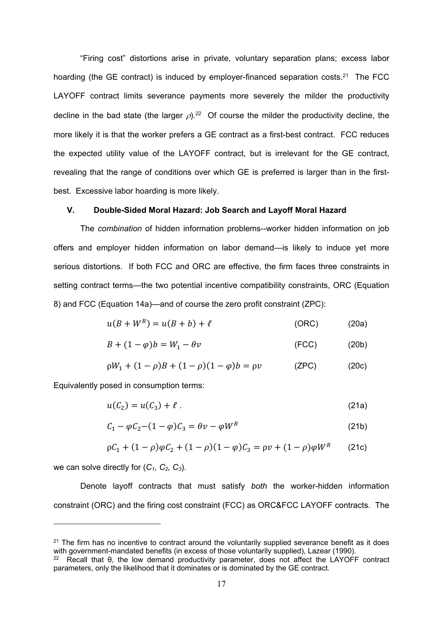"Firing cost" distortions arise in private, voluntary separation plans; excess labor hoarding (the GE contract) is induced by employer-financed separation costs.<sup>21</sup> The FCC LAYOFF contract limits severance payments more severely the milder the productivity decline in the bad state (the larger  $\rho$ ).<sup>22</sup> Of course the milder the productivity decline, the more likely it is that the worker prefers a GE contract as a first-best contract. FCC reduces the expected utility value of the LAYOFF contract, but is irrelevant for the GE contract, revealing that the range of conditions over which GE is preferred is larger than in the firstbest. Excessive labor hoarding is more likely.

#### **V. Double-Sided Moral Hazard: Job Search and Layoff Moral Hazard**

The *combination* of hidden information problems--worker hidden information on job offers and employer hidden information on labor demand—is likely to induce yet more serious distortions. If both FCC and ORC are effective, the firm faces three constraints in setting contract terms—the two potential incentive compatibility constraints, ORC (Equation 8) and FCC (Equation 14a)—and of course the zero profit constraint (ZPC):

$$
u(B + WR) = u(B + b) + \ell
$$
 (ORC) (20a)

$$
B + (1 - \varphi)b = W_1 - \theta v \tag{FCC}
$$

$$
\rho W_1 + (1 - \rho)B + (1 - \rho)(1 - \varphi)b = \rho v \qquad (ZPC)
$$
 (20c)

Equivalently posed in consumption terms:

$$
u(C_2) = u(C_3) + \ell \tag{21a}
$$

$$
C_1 - \varphi C_2 - (1 - \varphi)C_3 = \theta v - \varphi W^R \tag{21b}
$$

$$
\rho C_1 + (1 - \rho)\varphi C_2 + (1 - \rho)(1 - \varphi)C_3 = \rho v + (1 - \rho)\varphi W^R \qquad (21c)
$$

we can solve directly for  $(C_1, C_2, C_3)$ .

1

Denote layoff contracts that must satisfy *both* the worker-hidden information constraint (ORC) and the firing cost constraint (FCC) as ORC&FCC LAYOFF contracts. The

<sup>&</sup>lt;sup>21</sup> The firm has no incentive to contract around the voluntarily supplied severance benefit as it does with government-mandated benefits (in excess of those voluntarily supplied), Lazear (1990).

<sup>22</sup> Recall that θ, the low demand productivity parameter, does not affect the LAYOFF contract parameters, only the likelihood that it dominates or is dominated by the GE contract.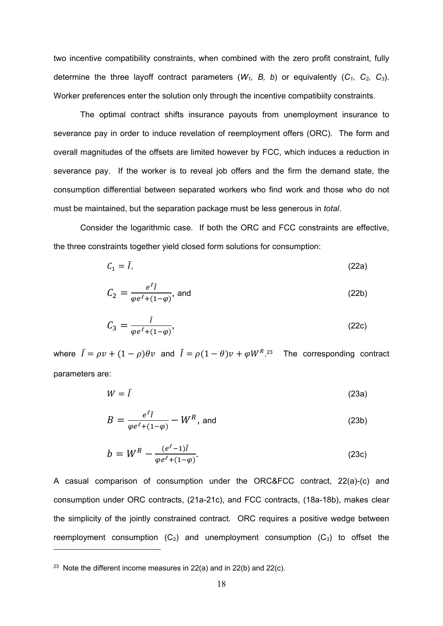two incentive compatibility constraints, when combined with the zero profit constraint, fully determine the three layoff contract parameters  $(W_1, B, b)$  or equivalently  $(C_1, C_2, C_3)$ . Worker preferences enter the solution only through the incentive compatibiity constraints.

The optimal contract shifts insurance payouts from unemployment insurance to severance pay in order to induce revelation of reemployment offers (ORC). The form and overall magnitudes of the offsets are limited however by FCC, which induces a reduction in severance pay. If the worker is to reveal job offers and the firm the demand state, the consumption differential between separated workers who find work and those who do not must be maintained, but the separation package must be less generous in *total*.

Consider the logarithmic case. If both the ORC and FCC constraints are effective, the three constraints together yield closed form solutions for consumption:

$$
C_1 = \bar{I},\tag{22a}
$$

$$
C_2 = \frac{e^{\ell} \tilde{I}}{\varphi e^{\ell} + (1 - \varphi)}, \text{ and} \tag{22b}
$$

$$
C_3 = \frac{\tilde{l}}{\varphi e^{\ell} + (1 - \varphi)},\tag{22c}
$$

where  $\bar{I} = \rho v + (1 - \rho)\theta v$  and  $\tilde{I} = \rho (1 - \theta)v + \varphi W^R$ . The corresponding contract parameters are:

$$
W = \bar{I} \tag{23a}
$$

$$
B = \frac{e^{\ell} \tilde{I}}{\varphi e^{\ell} + (1 - \varphi)} - W^R, \text{ and} \qquad (23b)
$$

$$
b = W^{R} - \frac{(e^{\ell} - 1)\tilde{I}}{\varphi e^{\ell} + (1 - \varphi)}.
$$
 (23c)

A casual comparison of consumption under the ORC&FCC contract, 22(a)-(c) and consumption under ORC contracts, (21a-21c), and FCC contracts, (18a-18b), makes clear the simplicity of the jointly constrained contract. ORC requires a positive wedge between reemployment consumption  $(C_2)$  and unemployment consumption  $(C_3)$  to offset the

<sup>&</sup>lt;sup>23</sup> Note the different income measures in 22(a) and in 22(b) and 22(c).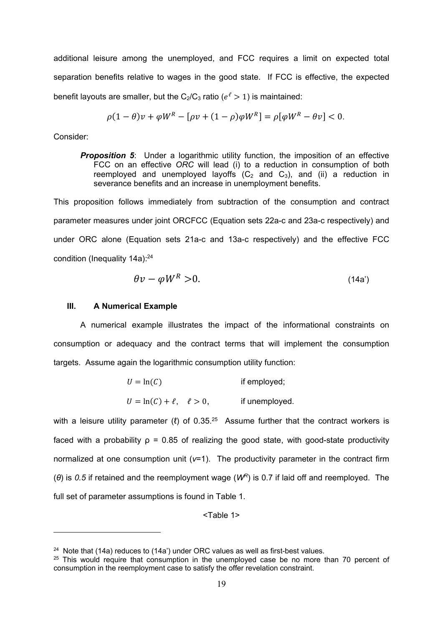additional leisure among the unemployed, and FCC requires a limit on expected total separation benefits relative to wages in the good state. If FCC is effective, the expected benefit layouts are smaller, but the  $C_2/C_3$  ratio ( $e^{\ell} > 1$ ) is maintained:

$$
\rho(1-\theta)v + \varphi W^R - [\rho v + (1-\rho)\varphi W^R] = \rho[\varphi W^R - \theta v] < 0.
$$

Consider:

1

**Proposition 5:** Under a logarithmic utility function, the imposition of an effective FCC on an effective *ORC* will lead (i) to a reduction in consumption of both reemployed and unemployed layoffs  $(C_2$  and  $C_3$ ), and (ii) a reduction in severance benefits and an increase in unemployment benefits.

This proposition follows immediately from subtraction of the consumption and contract parameter measures under joint ORCFCC (Equation sets 22a-c and 23a-c respectively) and under ORC alone (Equation sets 21a-c and 13a-c respectively) and the effective FCC condition (Inequality 14a):<sup>24</sup>

$$
\theta v - \varphi W^R > 0. \tag{14a'}
$$

#### **III. A Numerical Example**

A numerical example illustrates the impact of the informational constraints on consumption or adequacy and the contract terms that will implement the consumption targets. Assume again the logarithmic consumption utility function:

| $U = \ln(C)$                       | if employed;   |
|------------------------------------|----------------|
| $U = \ln(C) + \ell$ , $\ell > 0$ , | if unemployed. |

with a leisure utility parameter ( $\ell$ ) of 0.35.<sup>25</sup> Assume further that the contract workers is faced with a probability  $p = 0.85$  of realizing the good state, with good-state productivity normalized at one consumption unit (*v*=1). The productivity parameter in the contract firm (*θ*) is *0.5* if retained and the reemployment wage (*WR*) is 0.7 if laid off and reemployed. The full set of parameter assumptions is found in Table 1.

<Table 1>

<sup>&</sup>lt;sup>24</sup> Note that (14a) reduces to (14a') under ORC values as well as first-best values.

 $25$  This would require that consumption in the unemployed case be no more than 70 percent of consumption in the reemployment case to satisfy the offer revelation constraint.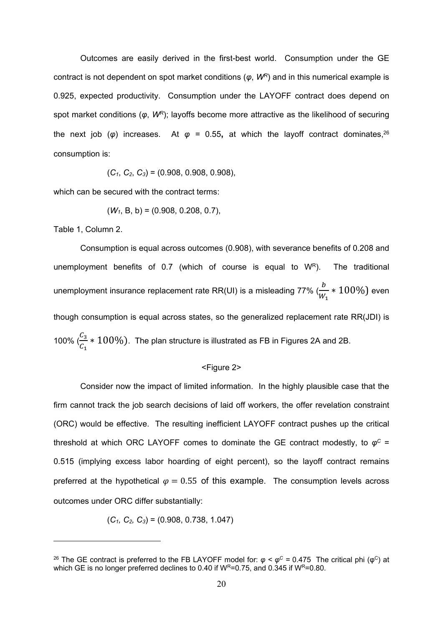Outcomes are easily derived in the first-best world. Consumption under the GE contract is not dependent on spot market conditions (*φ*, *WR*) and in this numerical example is 0.925, expected productivity. Consumption under the LAYOFF contract does depend on spot market conditions (*φ*, *WR*); layoffs become more attractive as the likelihood of securing the next job (*φ*) increases. At *φ =* 0.55**,** at which the layoff contract dominates,26 consumption is:

 $(C_1, C_2, C_3) = (0.908, 0.908, 0.908)$ 

which can be secured with the contract terms:

$$
(W_1, B, b) = (0.908, 0.208, 0.7),
$$

Table 1, Column 2.

1

Consumption is equal across outcomes (0.908), with severance benefits of 0.208 and unemployment benefits of 0.7 (which of course is equal to  $W^R$ ). The traditional unemployment insurance replacement rate RR(UI) is a misleading 77% ( $\frac{b}{\ldots}$  $\frac{b}{W_1} * 100\%$ ) even though consumption is equal across states, so the generalized replacement rate RR(JDI) is 100%  $\left(\frac{C_3}{C_1}\right)$  $\frac{c_3}{c_1}$   $*$   $100\%$ ). The plan structure is illustrated as FB in Figures 2A and 2B.

#### <Figure 2>

Consider now the impact of limited information. In the highly plausible case that the firm cannot track the job search decisions of laid off workers, the offer revelation constraint (ORC) would be effective. The resulting inefficient LAYOFF contract pushes up the critical threshold at which ORC LAYOFF comes to dominate the GE contract modestly, to  $\varphi^C$  = 0.515 (implying excess labor hoarding of eight percent), so the layoff contract remains preferred at the hypothetical  $\varphi = 0.55$  of this example. The consumption levels across outcomes under ORC differ substantially:

$$
(C_1, C_2, C_3) = (0.908, 0.738, 1.047)
$$

<sup>&</sup>lt;sup>26</sup> The GE contract is preferred to the FB LAYOFF model for:  $\varphi < \varphi^C$  = 0.475 The critical phi ( $\varphi^C$ ) at which GE is no longer preferred declines to 0.40 if  $W^{R}=0.75$ , and 0.345 if  $W^{R}=0.80$ .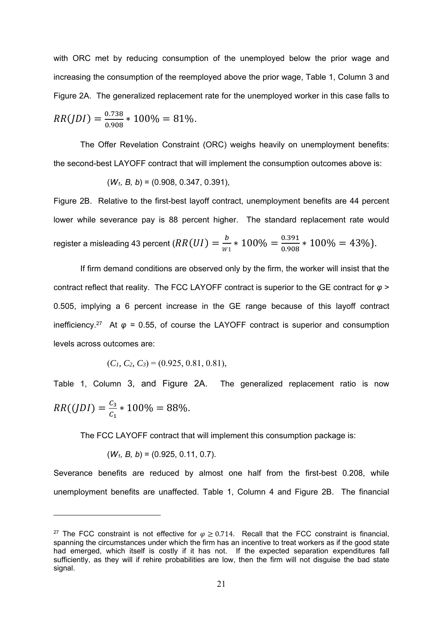with ORC met by reducing consumption of the unemployed below the prior wage and increasing the consumption of the reemployed above the prior wage, Table 1, Column 3 and Figure 2A. The generalized replacement rate for the unemployed worker in this case falls to  $RR(JDI) = \frac{0.738}{0.002}$ 

$$
RR(JDI) = \frac{0.756}{0.908} * 100\% = 81\%.
$$

The Offer Revelation Constraint (ORC) weighs heavily on unemployment benefits: the second-best LAYOFF contract that will implement the consumption outcomes above is:

$$
(W_1, B, b) = (0.908, 0.347, 0.391),
$$

Figure 2B. Relative to the first-best layoff contract, unemployment benefits are 44 percent lower while severance pay is 88 percent higher. The standard replacement rate would register a misleading 43 percent ( $RR(UI) = \frac{b}{w_1}*100\% = \frac{0.391}{0.908}*100\% = 43\%$ ).

If firm demand conditions are observed only by the firm, the worker will insist that the contract reflect that reality. The FCC LAYOFF contract is superior to the GE contract for *φ* > 0.505, implying a 6 percent increase in the GE range because of this layoff contract inefficiency.<sup>27</sup> At  $\varphi$  = 0.55, of course the LAYOFF contract is superior and consumption levels across outcomes are:

$$
(C_1, C_2, C_3) = (0.925, 0.81, 0.81),
$$

Table 1, Column 3, and Figure 2A. The generalized replacement ratio is now  $RR((JDI) = \frac{C_3}{C_1} * 100\% = 88\%.$ 

The FCC LAYOFF contract that will implement this consumption package is:

$$
(W_1, B, b) = (0.925, 0.11, 0.7).
$$

1

Severance benefits are reduced by almost one half from the first-best 0.208, while unemployment benefits are unaffected. Table 1, Column 4 and Figure 2B. The financial

<sup>&</sup>lt;sup>27</sup> The FCC constraint is not effective for  $\varphi \ge 0.714$ . Recall that the FCC constraint is financial, spanning the circumstances under which the firm has an incentive to treat workers as if the good state had emerged, which itself is costly if it has not. If the expected separation expenditures fall sufficiently, as they will if rehire probabilities are low, then the firm will not disguise the bad state signal.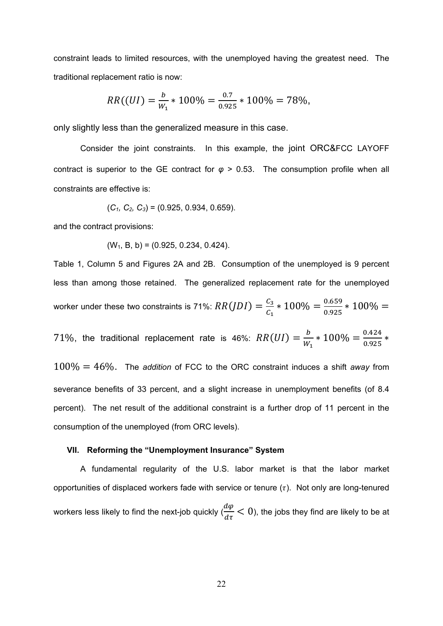constraint leads to limited resources, with the unemployed having the greatest need. The traditional replacement ratio is now:

$$
RR((UI) = \frac{b}{W_1} * 100\% = \frac{0.7}{0.925} * 100\% = 78\%,
$$

only slightly less than the generalized measure in this case.

Consider the joint constraints. In this example, the joint ORC&FCC LAYOFF contract is superior to the GE contract for *φ* > 0.53. The consumption profile when all constraints are effective is:

$$
(C_1, C_2, C_3) = (0.925, 0.934, 0.659).
$$

and the contract provisions:

$$
(W_1, B, b) = (0.925, 0.234, 0.424).
$$

Table 1, Column 5 and Figures 2A and 2B. Consumption of the unemployed is 9 percent less than among those retained. The generalized replacement rate for the unemployed worker under these two constraints is 71%:  $RR(JDI) = \frac{C_3}{C_1}*100\% = \frac{0.659}{0.925}*100\% =$ 71%, the traditional replacement rate is 46%:  $RR(UI) = \frac{b}{W_1} * 100\% = \frac{0.424}{0.925} *$  $100\% = 46\%$ . The *addition* of FCC to the ORC constraint induces a shift *away* from severance benefits of 33 percent, and a slight increase in unemployment benefits (of 8.4 percent). The net result of the additional constraint is a further drop of 11 percent in the consumption of the unemployed (from ORC levels).

#### **VII. Reforming the "Unemployment Insurance" System**

A fundamental regularity of the U.S. labor market is that the labor market opportunities of displaced workers fade with service or tenure  $(\tau)$ . Not only are long-tenured workers less likely to find the next-job quickly  $\frac{d\varphi}{d\tau} < 0$ ), the jobs they find are likely to be at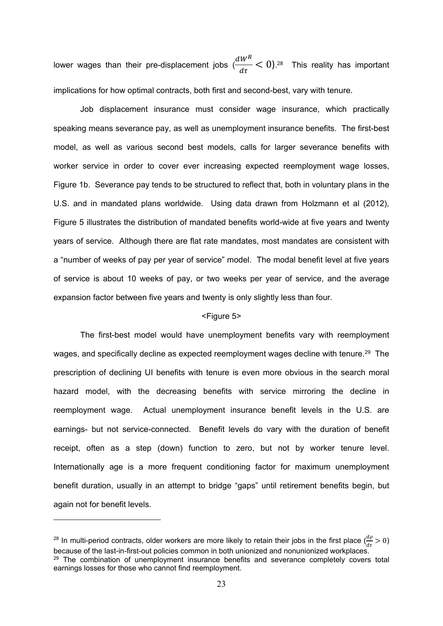lower wages than their pre-displacement jobs (  $dW^R$  $\frac{W}{d\tau}$  < 0).<sup>28</sup> This reality has important implications for how optimal contracts, both first and second-best, vary with tenure.

Job displacement insurance must consider wage insurance, which practically speaking means severance pay, as well as unemployment insurance benefits. The first-best model, as well as various second best models, calls for larger severance benefits with worker service in order to cover ever increasing expected reemployment wage losses, Figure 1b. Severance pay tends to be structured to reflect that, both in voluntary plans in the U.S. and in mandated plans worldwide. Using data drawn from Holzmann et al (2012), Figure 5 illustrates the distribution of mandated benefits world-wide at five years and twenty years of service. Although there are flat rate mandates, most mandates are consistent with a "number of weeks of pay per year of service" model. The modal benefit level at five years of service is about 10 weeks of pay, or two weeks per year of service, and the average expansion factor between five years and twenty is only slightly less than four.

#### <Figure 5>

The first-best model would have unemployment benefits vary with reemployment wages, and specifically decline as expected reemployment wages decline with tenure.<sup>29</sup> The prescription of declining UI benefits with tenure is even more obvious in the search moral hazard model, with the decreasing benefits with service mirroring the decline in reemployment wage. Actual unemployment insurance benefit levels in the U.S. are earnings- but not service-connected. Benefit levels do vary with the duration of benefit receipt, often as a step (down) function to zero, but not by worker tenure level. Internationally age is a more frequent conditioning factor for maximum unemployment benefit duration, usually in an attempt to bridge "gaps" until retirement benefits begin, but again not for benefit levels.

<sup>&</sup>lt;sup>28</sup> In multi-period contracts, older workers are more likely to retain their jobs in the first place  $(\frac{d\rho}{d\tau} > 0)$ because of the last-in-first-out policies common in both unionized and nonunionized workplaces.  $29$  The combination of unemployment insurance benefits and severance completely covers total earnings losses for those who cannot find reemployment.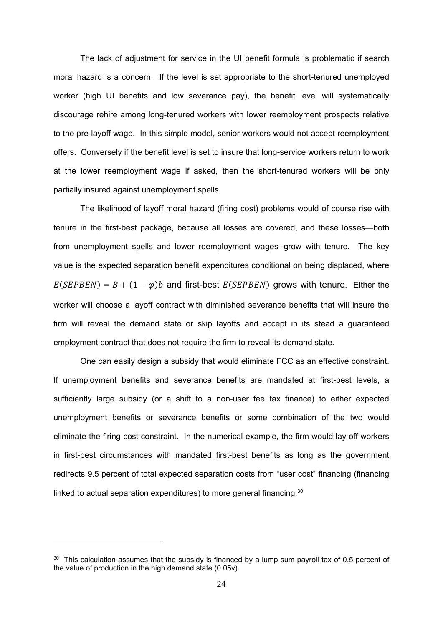The lack of adjustment for service in the UI benefit formula is problematic if search moral hazard is a concern. If the level is set appropriate to the short-tenured unemployed worker (high UI benefits and low severance pay), the benefit level will systematically discourage rehire among long-tenured workers with lower reemployment prospects relative to the pre-layoff wage. In this simple model, senior workers would not accept reemployment offers. Conversely if the benefit level is set to insure that long-service workers return to work at the lower reemployment wage if asked, then the short-tenured workers will be only partially insured against unemployment spells.

The likelihood of layoff moral hazard (firing cost) problems would of course rise with tenure in the first-best package, because all losses are covered, and these losses—both from unemployment spells and lower reemployment wages--grow with tenure. The key value is the expected separation benefit expenditures conditional on being displaced, where  $E(SEPBEN) = B + (1 - \varphi)b$  and first-best  $E(SEPBEN)$  grows with tenure. Either the worker will choose a layoff contract with diminished severance benefits that will insure the firm will reveal the demand state or skip layoffs and accept in its stead a guaranteed employment contract that does not require the firm to reveal its demand state.

One can easily design a subsidy that would eliminate FCC as an effective constraint. If unemployment benefits and severance benefits are mandated at first-best levels, a sufficiently large subsidy (or a shift to a non-user fee tax finance) to either expected unemployment benefits or severance benefits or some combination of the two would eliminate the firing cost constraint. In the numerical example, the firm would lay off workers in first-best circumstances with mandated first-best benefits as long as the government redirects 9.5 percent of total expected separation costs from "user cost" financing (financing linked to actual separation expenditures) to more general financing.<sup>30</sup>

 $30$  This calculation assumes that the subsidy is financed by a lump sum payroll tax of 0.5 percent of the value of production in the high demand state (0.05v).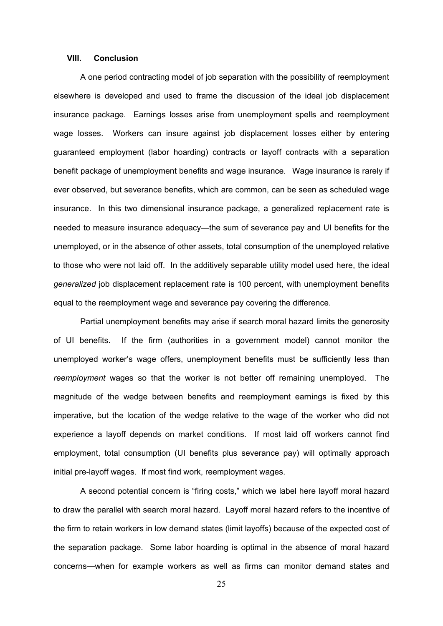#### **VIII. Conclusion**

A one period contracting model of job separation with the possibility of reemployment elsewhere is developed and used to frame the discussion of the ideal job displacement insurance package. Earnings losses arise from unemployment spells and reemployment wage losses. Workers can insure against job displacement losses either by entering guaranteed employment (labor hoarding) contracts or layoff contracts with a separation benefit package of unemployment benefits and wage insurance. Wage insurance is rarely if ever observed, but severance benefits, which are common, can be seen as scheduled wage insurance. In this two dimensional insurance package, a generalized replacement rate is needed to measure insurance adequacy—the sum of severance pay and UI benefits for the unemployed, or in the absence of other assets, total consumption of the unemployed relative to those who were not laid off. In the additively separable utility model used here, the ideal *generalized* job displacement replacement rate is 100 percent, with unemployment benefits equal to the reemployment wage and severance pay covering the difference.

Partial unemployment benefits may arise if search moral hazard limits the generosity of UI benefits. If the firm (authorities in a government model) cannot monitor the unemployed worker's wage offers, unemployment benefits must be sufficiently less than *reemployment* wages so that the worker is not better off remaining unemployed. The magnitude of the wedge between benefits and reemployment earnings is fixed by this imperative, but the location of the wedge relative to the wage of the worker who did not experience a layoff depends on market conditions. If most laid off workers cannot find employment, total consumption (UI benefits plus severance pay) will optimally approach initial pre-layoff wages. If most find work, reemployment wages.

A second potential concern is "firing costs," which we label here layoff moral hazard to draw the parallel with search moral hazard. Layoff moral hazard refers to the incentive of the firm to retain workers in low demand states (limit layoffs) because of the expected cost of the separation package. Some labor hoarding is optimal in the absence of moral hazard concerns—when for example workers as well as firms can monitor demand states and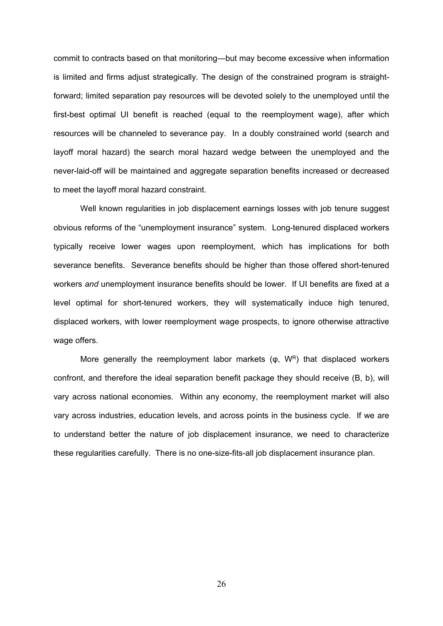commit to contracts based on that monitoring—but may become excessive when information is limited and firms adjust strategically. The design of the constrained program is straightforward; limited separation pay resources will be devoted solely to the unemployed until the first-best optimal UI benefit is reached (equal to the reemployment wage), after which resources will be channeled to severance pay. In a doubly constrained world (search and layoff moral hazard) the search moral hazard wedge between the unemployed and the never-laid-off will be maintained and aggregate separation benefits increased or decreased to meet the layoff moral hazard constraint.

Well known regularities in job displacement earnings losses with job tenure suggest obvious reforms of the "unemployment insurance" system. Long-tenured displaced workers typically receive lower wages upon reemployment, which has implications for both severance benefits. Severance benefits should be higher than those offered short-tenured workers *and* unemployment insurance benefits should be lower. If UI benefits are fixed at a level optimal for short-tenured workers, they will systematically induce high tenured, displaced workers, with lower reemployment wage prospects, to ignore otherwise attractive wage offers.

More generally the reemployment labor markets  $(\varphi, W^R)$  that displaced workers confront, and therefore the ideal separation benefit package they should receive (B, b), will vary across national economies. Within any economy, the reemployment market will also vary across industries, education levels, and across points in the business cycle. If we are to understand better the nature of job displacement insurance, we need to characterize these regularities carefully. There is no one-size-fits-all job displacement insurance plan.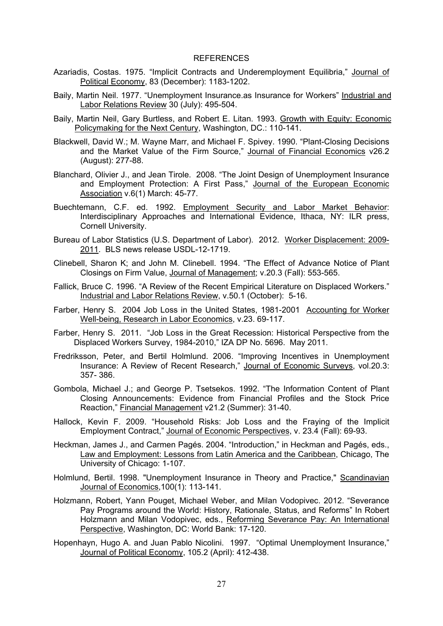#### REFERENCES

- Azariadis, Costas. 1975. "Implicit Contracts and Underemployment Equilibria," Journal of Political Economy, 83 (December): 1183-1202.
- Baily, Martin Neil. 1977. "Unemployment Insurance.as Insurance for Workers" Industrial and Labor Relations Review 30 (July): 495-504.
- Baily, Martin Neil, Gary Burtless, and Robert E. Litan. 1993. Growth with Equity: Economic Policymaking for the Next Century, Washington, DC.: 110-141.
- Blackwell, David W.; M. Wayne Marr, and Michael F. Spivey. 1990. "Plant-Closing Decisions and the Market Value of the Firm Source," Journal of Financial Economics v26.2 (August): 277-88.
- Blanchard, Olivier J., and Jean Tirole. 2008. "The Joint Design of Unemployment Insurance and Employment Protection: A First Pass," Journal of the European Economic Association v.6(1) March: 45-77.
- Buechtemann, C.F. ed. 1992. Employment Security and Labor Market Behavior: Interdisciplinary Approaches and International Evidence, Ithaca, NY: ILR press, Cornell University.
- Bureau of Labor Statistics (U.S. Department of Labor). 2012. Worker Displacement: 2009- 2011. BLS news release USDL-12-1719.
- Clinebell, Sharon K; and John M. Clinebell. 1994. "The Effect of Advance Notice of Plant Closings on Firm Value, Journal of Management; v.20.3 (Fall): 553-565.
- Fallick, Bruce C. 1996. "A Review of the Recent Empirical Literature on Displaced Workers." Industrial and Labor Relations Review, v.50.1 (October): 5-16.
- Farber, Henry S. 2004 Job Loss in the United States, 1981-2001 Accounting for Worker Well-being, Research in Labor Economics, v.23. 69-117.
- Farber, Henry S. 2011. "Job Loss in the Great Recession: Historical Perspective from the Displaced Workers Survey, 1984-2010," IZA DP No. 5696. May 2011.
- Fredriksson, Peter, and Bertil Holmlund. 2006. "Improving Incentives in Unemployment Insurance: A Review of Recent Research," Journal of Economic Surveys, vol.20.3: 357- 386.
- Gombola, Michael J.; and George P. Tsetsekos. 1992. "The Information Content of Plant Closing Announcements: Evidence from Financial Profiles and the Stock Price Reaction," Financial Management v21.2 (Summer): 31-40.
- Hallock, Kevin F. 2009. "Household Risks: Job Loss and the Fraying of the Implicit Employment Contract," Journal of Economic Perspectives, v. 23.4 (Fall): 69-93.
- Heckman, James J., and Carmen Pagés. 2004. "Introduction," in Heckman and Pagés, eds., Law and Employment: Lessons from Latin America and the Caribbean, Chicago, The University of Chicago: 1-107.
- Holmlund, Bertil. 1998. "Unemployment Insurance in Theory and Practice," Scandinavian Journal of Economics,100(1): 113-141.
- Holzmann, Robert, Yann Pouget, Michael Weber, and Milan Vodopivec. 2012. "Severance Pay Programs around the World: History, Rationale, Status, and Reforms" In Robert Holzmann and Milan Vodopivec, eds., Reforming Severance Pay: An International Perspective, Washington, DC: World Bank: 17-120.
- Hopenhayn, Hugo A. and Juan Pablo Nicolini. 1997. "Optimal Unemployment Insurance," Journal of Political Economy, 105.2 (April): 412-438.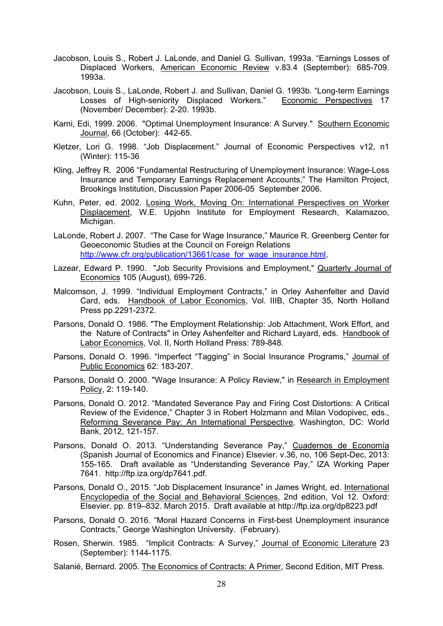- Jacobson, Louis S., Robert J. LaLonde, and Daniel G. Sullivan, 1993a. "Earnings Losses of Displaced Workers, American Economic Review v.83.4 (September): 685-709. 1993a.
- Jacobson, Louis S., LaLonde, Robert J. and Sullivan, Daniel G. 1993b. "Long-term Earnings Losses of High-seniority Displaced Workers." Economic Perspectives 17 (November/ December): 2-20. 1993b.
- Karni, Edi, 1999. 2006. "Optimal Unemployment Insurance: A Survey." Southern Economic Journal, 66 (October): 442-65.
- Kletzer, Lori G. 1998. "Job Displacement." Journal of Economic Perspectives v12, n1 (Winter): 115-36
- Kling, Jeffrey R. 2006 "Fundamental Restructuring of Unemployment Insurance: Wage-Loss Insurance and Temporary Earnings Replacement Accounts," The Hamilton Project, Brookings Institution, Discussion Paper 2006-05 September 2006.
- Kuhn, Peter, ed. 2002. Losing Work, Moving On: International Perspectives on Worker Displacement, W.E. Upjohn Institute for Employment Research, Kalamazoo, Michigan.
- LaLonde, Robert J. 2007. "The Case for Wage Insurance," Maurice R. Greenberg Center for Geoeconomic Studies at the Council on Foreign Relations http://www.cfr.org/publication/13661/case\_for\_wage\_insurance.html
- Lazear, Edward P. 1990. "Job Security Provisions and Employment," Quarterly Journal of Economics 105 (August), 699-726.
- Malcomson, J. 1999. "Individual Employment Contracts," in Orley Ashenfelter and David Card, eds. Handbook of Labor Economics, Vol. IIIB, Chapter 35, North Holland Press pp.2291-2372.
- Parsons, Donald O. 1986. "The Employment Relationship: Job Attachment, Work Effort, and the Nature of Contracts" in Orley Ashenfelter and Richard Layard, eds. Handbook of Labor Economics, Vol. II, North Holland Press: 789-848.
- Parsons, Donald O. 1996. "Imperfect "Tagging" in Social Insurance Programs," Journal of Public Economics 62: 183-207.
- Parsons, Donald O. 2000. "Wage Insurance: A Policy Review," in Research in Employment Policy, 2: 119-140.
- Parsons, Donald O. 2012. "Mandated Severance Pay and Firing Cost Distortions: A Critical Review of the Evidence," Chapter 3 in Robert Holzmann and Milan Vodopivec, eds., Reforming Severance Pay: An International Perspective, Washington, DC: World Bank, 2012, 121-157.
- Parsons, Donald O. 2013. "Understanding Severance Pay," Cuadernos de Economía (Spanish Journal of Economics and Finance) Elsevier. v.36, no, 106 Sept-Dec, 2013: 155-165. Draft available as "Understanding Severance Pay," IZA Working Paper 7641. http://ftp.iza.org/dp7641.pdf.
- Parsons, Donald O., 2015. "Job Displacement Insurance" in James Wright, ed. International Encyclopedia of the Social and Behavioral Sciences, 2nd edition, Vol 12. Oxford: Elsevier. pp. 819–832. March 2015. Draft available at http://ftp.iza.org/dp8223.pdf
- Parsons, Donald O. 2016. "Moral Hazard Concerns in First-best Unemployment insurance Contracts," George Washington University. (February).
- Rosen, Sherwin. 1985. "Implicit Contracts: A Survey," Journal of Economic Literature 23 (September): 1144-1175.
- Salanié, Bernard. 2005. The Economics of Contracts: A Primer, Second Edition, MIT Press.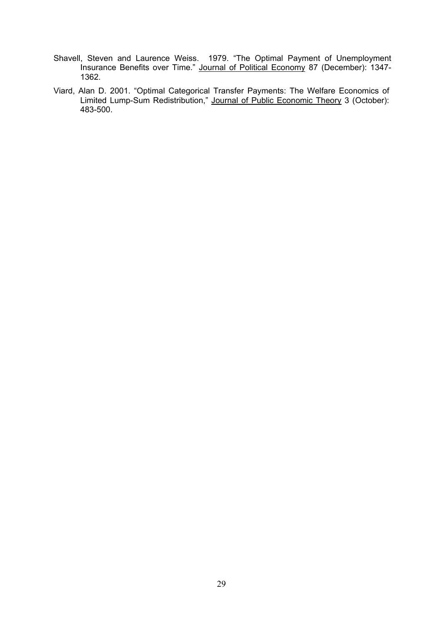- Shavell, Steven and Laurence Weiss. 1979. "The Optimal Payment of Unemployment Insurance Benefits over Time." Journal of Political Economy 87 (December): 1347-1362.
- Viard, Alan D. 2001. "Optimal Categorical Transfer Payments: The Welfare Economics of Limited Lump-Sum Redistribution," Journal of Public Economic Theory 3 (October): 483-500.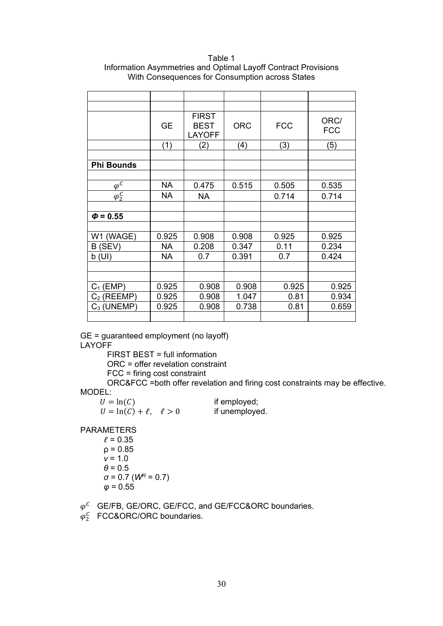Table 1 Information Asymmetries and Optimal Layoff Contract Provisions With Consequences for Consumption across States

|                     | <b>GE</b> | <b>FIRST</b><br><b>BEST</b><br><b>LAYOFF</b> | <b>ORC</b> | <b>FCC</b> | ORC/<br><b>FCC</b> |
|---------------------|-----------|----------------------------------------------|------------|------------|--------------------|
|                     | (1)       | (2)                                          | (4)        | (3)        | (5)                |
|                     |           |                                              |            |            |                    |
| <b>Phi Bounds</b>   |           |                                              |            |            |                    |
|                     |           |                                              |            |            |                    |
| $\varphi^{\bar{C}}$ | <b>NA</b> | 0.475                                        | 0.515      | 0.505      | 0.535              |
| $\varphi_2^C$       | <b>NA</b> | <b>NA</b>                                    |            | 0.714      | 0.714              |
|                     |           |                                              |            |            |                    |
| $\phi = 0.55$       |           |                                              |            |            |                    |
|                     |           |                                              |            |            |                    |
| W1 (WAGE)           | 0.925     | 0.908                                        | 0.908      | 0.925      | 0.925              |
| B (SEV)             | <b>NA</b> | 0.208                                        | 0.347      | 0.11       | 0.234              |
| b(UI)               | <b>NA</b> | 0.7                                          | 0.391      | 0.7        | 0.424              |
|                     |           |                                              |            |            |                    |
|                     |           |                                              |            |            |                    |
| $C_1$ (EMP)         | 0.925     | 0.908                                        | 0.908      | 0.925      | 0.925              |
| $C_2$ (REEMP)       | 0.925     | 0.908                                        | 1.047      | 0.81       | 0.934              |
| $C_3$ (UNEMP)       | 0.925     | 0.908                                        | 0.738      | 0.81       | 0.659              |
|                     |           |                                              |            |            |                    |

GE = guaranteed employment (no layoff) LAYOFF

FIRST BEST = full information

ORC = offer revelation constraint

FCC = firing cost constraint

ORC&FCC =both offer revelation and firing cost constraints may be effective. MODEL:

 $U = \ln(C)$  if employed;  $U = \ln(C) + \ell$ ,  $\ell > 0$  if unemployed.

PARAMETERS

- $l = 0.35$  $ρ = 0.85$ *v* = 1.0  $\theta$  = 0.5 *σ* = 0.7 (*WR* = 0.7)  $\varphi = 0.55$
- $\varphi^C$  GE/FB, GE/ORC, GE/FCC, and GE/FCC&ORC boundaries.
- $\varphi_2^C$  FCC&ORC/ORC boundaries.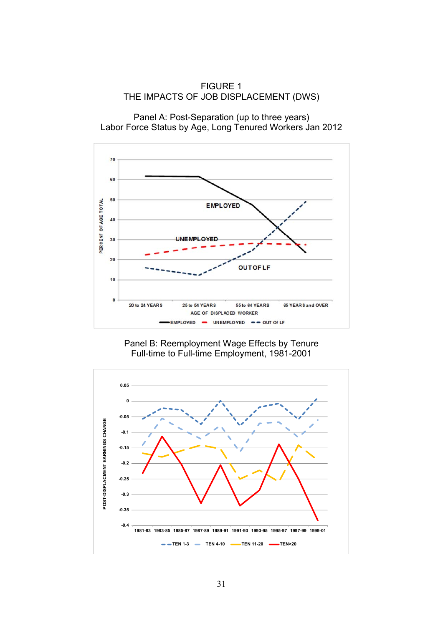FIGURE 1 THE IMPACTS OF JOB DISPLACEMENT (DWS)

Panel A: Post-Separation (up to three years) Labor Force Status by Age, Long Tenured Workers Jan 2012





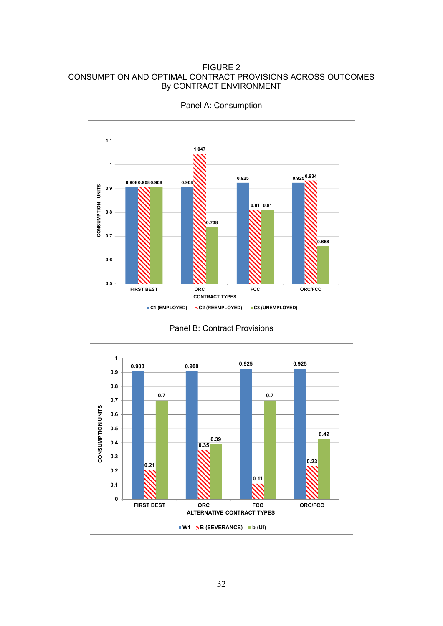#### FIGURE 2 CONSUMPTION AND OPTIMAL CONTRACT PROVISIONS ACROSS OUTCOMES By CONTRACT ENVIRONMENT



Panel A: Consumption

Panel B: Contract Provisions

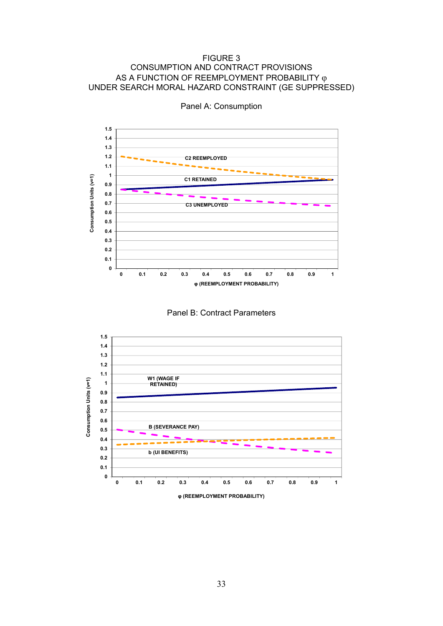#### FIGURE 3 CONSUMPTION AND CONTRACT PROVISIONS AS A FUNCTION OF REEMPLOYMENT PROBABILITY φ UNDER SEARCH MORAL HAZARD CONSTRAINT (GE SUPPRESSED)



Panel A: Consumption



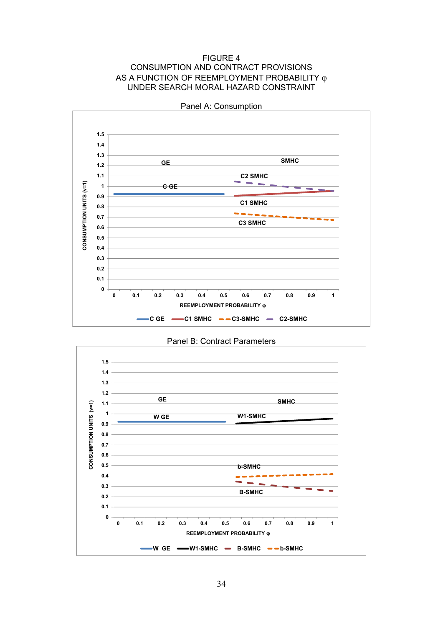FIGURE 4 CONSUMPTION AND CONTRACT PROVISIONS AS A FUNCTION OF REEMPLOYMENT PROBABILITY φ UNDER SEARCH MORAL HAZARD CONSTRAINT



Panel A: Consumption

Panel B: Contract Parameters